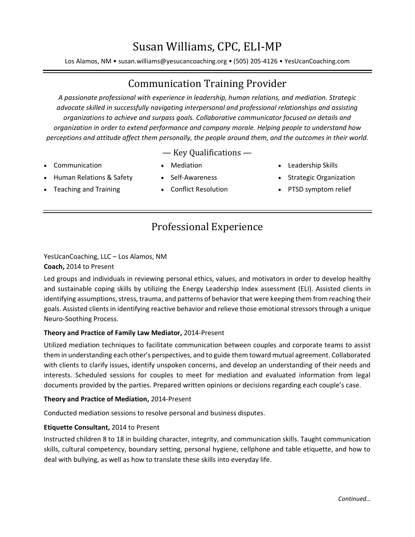# Susan Williams, CPC, ELI-MP

Los Alamos, NM • susan.williams@yesucancoaching.org • (505) 205-4126 • YesUcanCoaching.com

## Communication Training Provider

*A passionate professional with experience in leadership, human relations, and mediation. Strategic advocate skilled in successfully navigating interpersonal and professional relationships and assisting organizations to achieve and surpass goals. Collaborative communicator focused on details and organization in order to extend performance and company morale. Helping people to understand how perceptions and attitude affect them personally, the people around them, and the outcomes in their world.*

— Key Qualifications —

• Communication

• Mediation

• Leadership Skills

- Human Relations & Safety
- Self-Awareness
- Strategic Organization
- PTSD symptom relief
- Teaching and Training
- Conflict Resolution
- Professional Experience

YesUcanCoaching, LLC – Los Alamos, NM **Coach,** 2014 to Present

Led groups and individuals in reviewing personal ethics, values, and motivators in order to develop healthy and sustainable coping skills by utilizing the Energy Leadership Index assessment (ELI). Assisted clients in identifying assumptions, stress, trauma, and patterns of behavior that were keeping them from reaching their goals. Assisted clients in identifying reactive behavior and relieve those emotional stressors through a unique Neuro-Soothing Process.

#### **Theory and Practice of Family Law Mediator,** 2014-Present

Utilized mediation techniques to facilitate communication between couples and corporate teams to assist them in understanding each other's perspectives, and to guide them toward mutual agreement. Collaborated with clients to clarify issues, identify unspoken concerns, and develop an understanding of their needs and interests. Scheduled sessions for couples to meet for mediation and evaluated information from legal documents provided by the parties. Prepared written opinions or decisions regarding each couple's case.

#### **Theory and Practice of Mediation,** 2014-Present

Conducted mediation sessions to resolve personal and business disputes.

#### **Etiquette Consultant,** 2014 to Present

Instructed children 8 to 18 in building character, integrity, and communication skills. Taught communication skills, cultural competency, boundary setting, personal hygiene, cellphone and table etiquette, and how to deal with bullying, as well as how to translate these skills into everyday life.